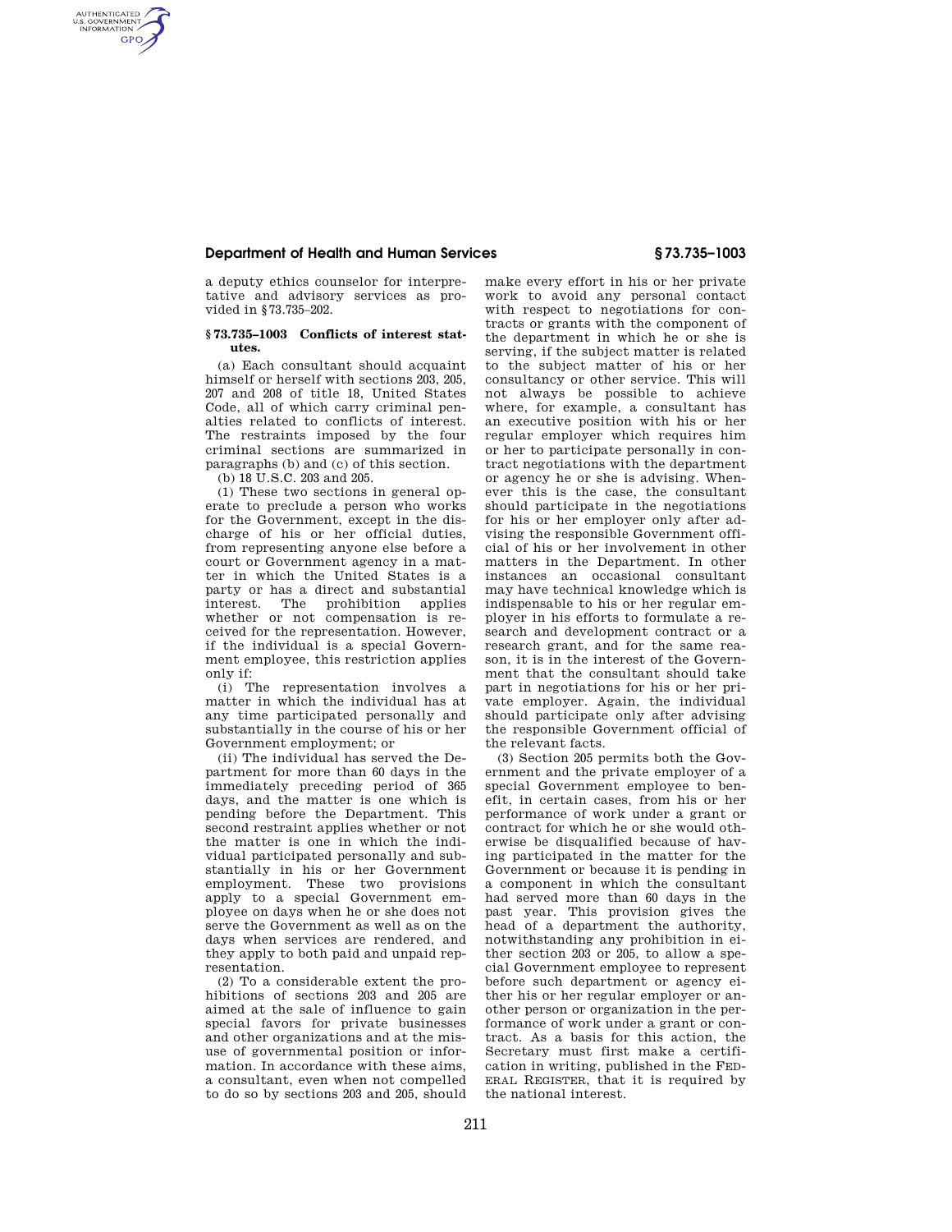## **Department of Health and Human Services § 73.735–1003**

a deputy ethics counselor for interpretative and advisory services as provided in §73.735–202.

## **§ 73.735–1003 Conflicts of interest statutes.**

(a) Each consultant should acquaint himself or herself with sections 203, 205, 207 and 208 of title 18, United States Code, all of which carry criminal penalties related to conflicts of interest. The restraints imposed by the four criminal sections are summarized in paragraphs (b) and (c) of this section.

(b) 18 U.S.C. 203 and 205.

AUTHENTICATED<br>U.S. GOVERNMENT<br>INFORMATION **GPO** 

> (1) These two sections in general operate to preclude a person who works for the Government, except in the discharge of his or her official duties, from representing anyone else before a court or Government agency in a matter in which the United States is a party or has a direct and substantial interest. The prohibition applies whether or not compensation is received for the representation. However, if the individual is a special Government employee, this restriction applies only if:

> (i) The representation involves a matter in which the individual has at any time participated personally and substantially in the course of his or her Government employment; or

> (ii) The individual has served the Department for more than 60 days in the immediately preceding period of 365 days, and the matter is one which is pending before the Department. This second restraint applies whether or not the matter is one in which the individual participated personally and substantially in his or her Government employment. These two provisions apply to a special Government employee on days when he or she does not serve the Government as well as on the days when services are rendered, and they apply to both paid and unpaid representation.

> (2) To a considerable extent the prohibitions of sections 203 and 205 are aimed at the sale of influence to gain special favors for private businesses and other organizations and at the misuse of governmental position or information. In accordance with these aims a consultant, even when not compelled to do so by sections 203 and 205, should

make every effort in his or her private work to avoid any personal contact with respect to negotiations for contracts or grants with the component of the department in which he or she is serving, if the subject matter is related to the subject matter of his or her consultancy or other service. This will not always be possible to achieve where, for example, a consultant has an executive position with his or her regular employer which requires him or her to participate personally in contract negotiations with the department or agency he or she is advising. Whenever this is the case, the consultant should participate in the negotiations for his or her employer only after advising the responsible Government official of his or her involvement in other matters in the Department. In other instances an occasional consultant may have technical knowledge which is indispensable to his or her regular employer in his efforts to formulate a research and development contract or a research grant, and for the same reason, it is in the interest of the Government that the consultant should take part in negotiations for his or her private employer. Again, the individual should participate only after advising the responsible Government official of the relevant facts.

(3) Section 205 permits both the Government and the private employer of a special Government employee to benefit, in certain cases, from his or her performance of work under a grant or contract for which he or she would otherwise be disqualified because of having participated in the matter for the Government or because it is pending in a component in which the consultant had served more than 60 days in the past year. This provision gives the head of a department the authority, notwithstanding any prohibition in either section 203 or 205, to allow a special Government employee to represent before such department or agency either his or her regular employer or another person or organization in the performance of work under a grant or contract. As a basis for this action, the Secretary must first make a certification in writing, published in the FED-ERAL REGISTER, that it is required by the national interest.